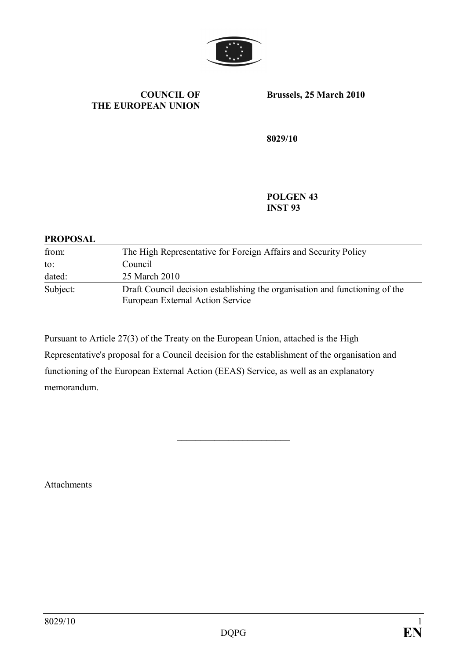

#### **COUNCIL OF THE EUROPEAN UNION**

**Brussels, 25 March 2010**

**8029/10**

**POLGEN 43 INST 93**

#### **PROPOSAL**

| from:    | The High Representative for Foreign Affairs and Security Policy                                                 |
|----------|-----------------------------------------------------------------------------------------------------------------|
| to:      | Council                                                                                                         |
| dated:   | 25 March 2010                                                                                                   |
| Subject: | Draft Council decision establishing the organisation and functioning of the<br>European External Action Service |

Pursuant to Article 27(3) of the Treaty on the European Union, attached is the High Representative's proposal for a Council decision for the establishment of the organisation and functioning of the European External Action (EEAS) Service, as well as an explanatory memorandum.

\_\_\_\_\_\_\_\_\_\_\_\_\_\_\_\_\_\_\_\_\_\_\_\_

**Attachments**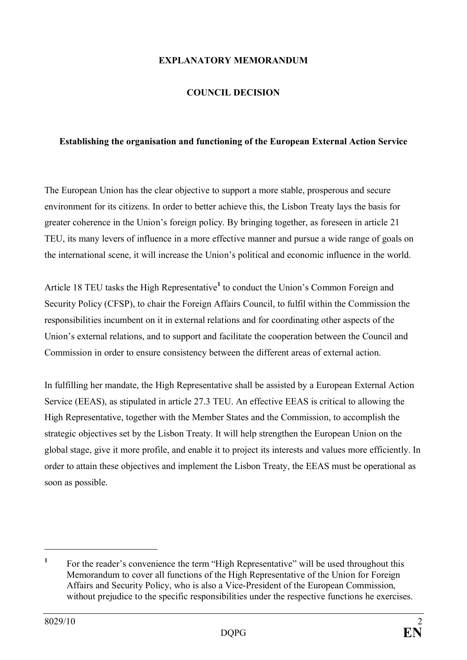#### **EXPLANATORY MEMORANDUM**

#### **COUNCIL DECISION**

#### **Establishing the organisation and functioning of the European External Action Service**

The European Union has the clear objective to support a more stable, prosperous and secure environment for its citizens. In order to better achieve this, the Lisbon Treaty lays the basis for greater coherence in the Union's foreign policy. By bringing together, as foreseen in article 21 TEU, its many levers of influence in a more effective manner and pursue a wide range of goals on the international scene, it will increase the Union's political and economic influence in the world.

Article 18 TEU tasks the High Representative**<sup>1</sup>** to conduct the Union's Common Foreign and Security Policy (CFSP), to chair the Foreign Affairs Council, to fulfil within the Commission the responsibilities incumbent on it in external relations and for coordinating other aspects of the Union's external relations, and to support and facilitate the cooperation between the Council and Commission in order to ensure consistency between the different areas of external action.

In fulfilling her mandate, the High Representative shall be assisted by a European External Action Service (EEAS), as stipulated in article 27.3 TEU. An effective EEAS is critical to allowing the High Representative, together with the Member States and the Commission, to accomplish the strategic objectives set by the Lisbon Treaty. It will help strengthen the European Union on the global stage, give it more profile, and enable it to project its interests and values more efficiently. In order to attain these objectives and implement the Lisbon Treaty, the EEAS must be operational as soon as possible.

**<sup>1</sup>** For the reader's convenience the term "High Representative" will be used throughout this Memorandum to cover all functions of the High Representative of the Union for Foreign Affairs and Security Policy, who is also a Vice-President of the European Commission, without prejudice to the specific responsibilities under the respective functions he exercises.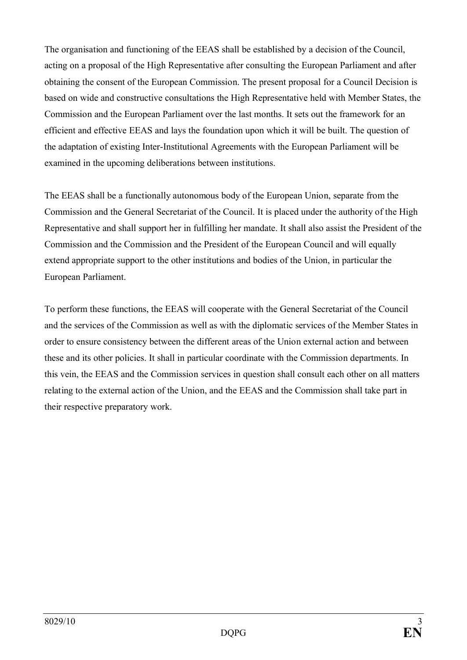The organisation and functioning of the EEAS shall be established by a decision of the Council, acting on a proposal of the High Representative after consulting the European Parliament and after obtaining the consent of the European Commission. The present proposal for a Council Decision is based on wide and constructive consultations the High Representative held with Member States, the Commission and the European Parliament over the last months. It sets out the framework for an efficient and effective EEAS and lays the foundation upon which it will be built. The question of the adaptation of existing Inter-Institutional Agreements with the European Parliament will be examined in the upcoming deliberations between institutions.

The EEAS shall be a functionally autonomous body of the European Union, separate from the Commission and the General Secretariat of the Council. It is placed under the authority of the High Representative and shall support her in fulfilling her mandate. It shall also assist the President of the Commission and the Commission and the President of the European Council and will equally extend appropriate support to the other institutions and bodies of the Union, in particular the European Parliament.

To perform these functions, the EEAS will cooperate with the General Secretariat of the Council and the services of the Commission as well as with the diplomatic services of the Member States in order to ensure consistency between the different areas of the Union external action and between these and its other policies. It shall in particular coordinate with the Commission departments. In this vein, the EEAS and the Commission services in question shall consult each other on all matters relating to the external action of the Union, and the EEAS and the Commission shall take part in their respective preparatory work.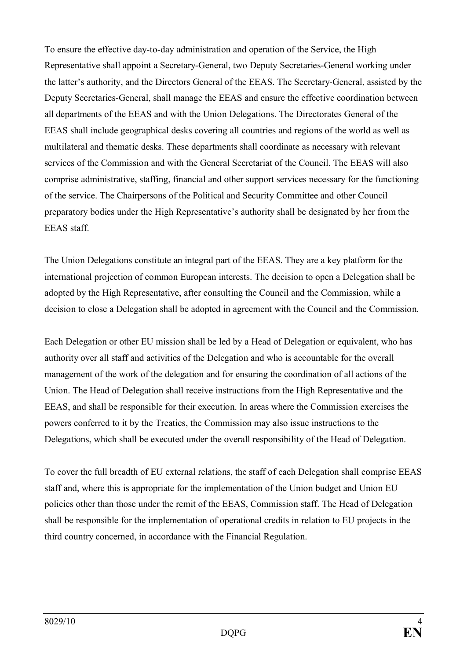To ensure the effective day-to-day administration and operation of the Service, the High Representative shall appoint a Secretary-General, two Deputy Secretaries-General working under the latter's authority, and the Directors General of the EEAS. The Secretary-General, assisted by the Deputy Secretaries-General, shall manage the EEAS and ensure the effective coordination between all departments of the EEAS and with the Union Delegations. The Directorates General of the EEAS shall include geographical desks covering all countries and regions of the world as well as multilateral and thematic desks. These departments shall coordinate as necessary with relevant services of the Commission and with the General Secretariat of the Council. The EEAS will also comprise administrative, staffing, financial and other support services necessary for the functioning of the service. The Chairpersons of the Political and Security Committee and other Council preparatory bodies under the High Representative's authority shall be designated by her from the EEAS staff.

The Union Delegations constitute an integral part of the EEAS. They are a key platform for the international projection of common European interests. The decision to open a Delegation shall be adopted by the High Representative, after consulting the Council and the Commission, while a decision to close a Delegation shall be adopted in agreement with the Council and the Commission.

Each Delegation or other EU mission shall be led by a Head of Delegation or equivalent, who has authority over all staff and activities of the Delegation and who is accountable for the overall management of the work of the delegation and for ensuring the coordination of all actions of the Union. The Head of Delegation shall receive instructions from the High Representative and the EEAS, and shall be responsible for their execution. In areas where the Commission exercises the powers conferred to it by the Treaties, the Commission may also issue instructions to the Delegations, which shall be executed under the overall responsibility of the Head of Delegation.

To cover the full breadth of EU external relations, the staff of each Delegation shall comprise EEAS staff and, where this is appropriate for the implementation of the Union budget and Union EU policies other than those under the remit of the EEAS, Commission staff. The Head of Delegation shall be responsible for the implementation of operational credits in relation to EU projects in the third country concerned, in accordance with the Financial Regulation.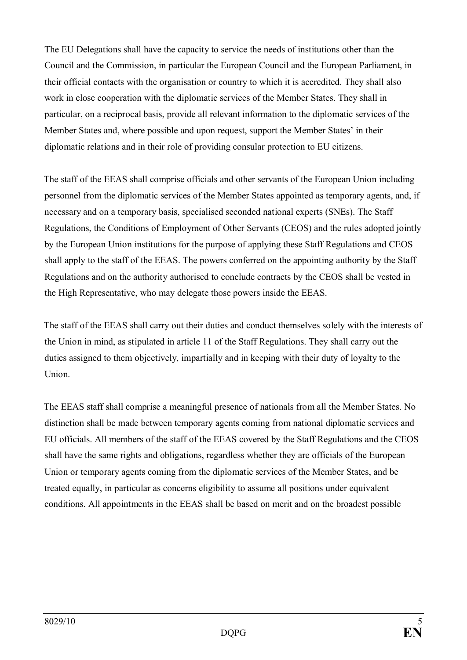The EU Delegations shall have the capacity to service the needs of institutions other than the Council and the Commission, in particular the European Council and the European Parliament, in their official contacts with the organisation or country to which it is accredited. They shall also work in close cooperation with the diplomatic services of the Member States. They shall in particular, on a reciprocal basis, provide all relevant information to the diplomatic services of the Member States and, where possible and upon request, support the Member States' in their diplomatic relations and in their role of providing consular protection to EU citizens.

The staff of the EEAS shall comprise officials and other servants of the European Union including personnel from the diplomatic services of the Member States appointed as temporary agents, and, if necessary and on a temporary basis, specialised seconded national experts (SNEs). The Staff Regulations, the Conditions of Employment of Other Servants (CEOS) and the rules adopted jointly by the European Union institutions for the purpose of applying these Staff Regulations and CEOS shall apply to the staff of the EEAS. The powers conferred on the appointing authority by the Staff Regulations and on the authority authorised to conclude contracts by the CEOS shall be vested in the High Representative, who may delegate those powers inside the EEAS.

The staff of the EEAS shall carry out their duties and conduct themselves solely with the interests of the Union in mind, as stipulated in article 11 of the Staff Regulations. They shall carry out the duties assigned to them objectively, impartially and in keeping with their duty of loyalty to the Union.

The EEAS staff shall comprise a meaningful presence of nationals from all the Member States. No distinction shall be made between temporary agents coming from national diplomatic services and EU officials. All members of the staff of the EEAS covered by the Staff Regulations and the CEOS shall have the same rights and obligations, regardless whether they are officials of the European Union or temporary agents coming from the diplomatic services of the Member States, and be treated equally, in particular as concerns eligibility to assume all positions under equivalent conditions. All appointments in the EEAS shall be based on merit and on the broadest possible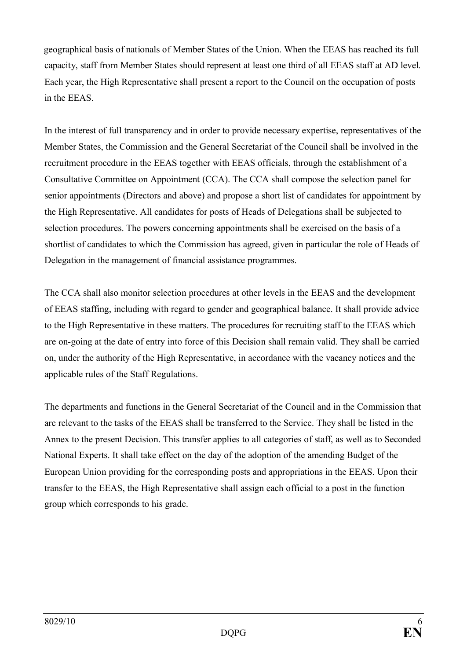geographical basis of nationals of Member States of the Union. When the EEAS has reached its full capacity, staff from Member States should represent at least one third of all EEAS staff at AD level. Each year, the High Representative shall present a report to the Council on the occupation of posts in the EEAS.

In the interest of full transparency and in order to provide necessary expertise, representatives of the Member States, the Commission and the General Secretariat of the Council shall be involved in the recruitment procedure in the EEAS together with EEAS officials, through the establishment of a Consultative Committee on Appointment (CCA). The CCA shall compose the selection panel for senior appointments (Directors and above) and propose a short list of candidates for appointment by the High Representative. All candidates for posts of Heads of Delegations shall be subjected to selection procedures. The powers concerning appointments shall be exercised on the basis of a shortlist of candidates to which the Commission has agreed, given in particular the role of Heads of Delegation in the management of financial assistance programmes.

The CCA shall also monitor selection procedures at other levels in the EEAS and the development of EEAS staffing, including with regard to gender and geographical balance. It shall provide advice to the High Representative in these matters. The procedures for recruiting staff to the EEAS which are on-going at the date of entry into force of this Decision shall remain valid. They shall be carried on, under the authority of the High Representative, in accordance with the vacancy notices and the applicable rules of the Staff Regulations.

The departments and functions in the General Secretariat of the Council and in the Commission that are relevant to the tasks of the EEAS shall be transferred to the Service. They shall be listed in the Annex to the present Decision. This transfer applies to all categories of staff, as well as to Seconded National Experts. It shall take effect on the day of the adoption of the amending Budget of the European Union providing for the corresponding posts and appropriations in the EEAS. Upon their transfer to the EEAS, the High Representative shall assign each official to a post in the function group which corresponds to his grade.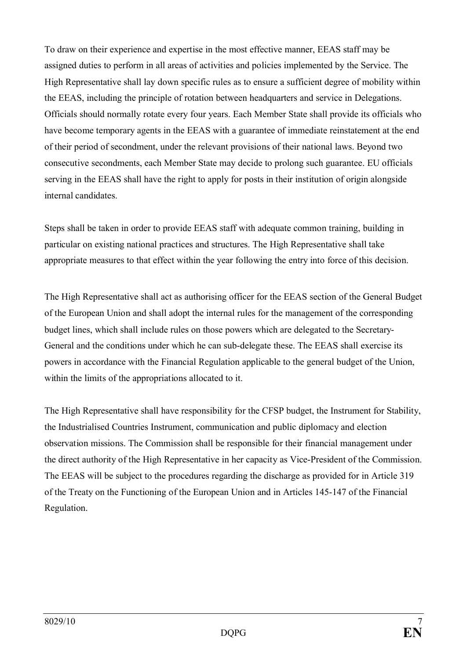To draw on their experience and expertise in the most effective manner, EEAS staff may be assigned duties to perform in all areas of activities and policies implemented by the Service. The High Representative shall lay down specific rules as to ensure a sufficient degree of mobility within the EEAS, including the principle of rotation between headquarters and service in Delegations. Officials should normally rotate every four years. Each Member State shall provide its officials who have become temporary agents in the EEAS with a guarantee of immediate reinstatement at the end of their period of secondment, under the relevant provisions of their national laws. Beyond two consecutive secondments, each Member State may decide to prolong such guarantee. EU officials serving in the EEAS shall have the right to apply for posts in their institution of origin alongside internal candidates.

Steps shall be taken in order to provide EEAS staff with adequate common training, building in particular on existing national practices and structures. The High Representative shall take appropriate measures to that effect within the year following the entry into force of this decision.

The High Representative shall act as authorising officer for the EEAS section of the General Budget of the European Union and shall adopt the internal rules for the management of the corresponding budget lines, which shall include rules on those powers which are delegated to the Secretary-General and the conditions under which he can sub-delegate these. The EEAS shall exercise its powers in accordance with the Financial Regulation applicable to the general budget of the Union, within the limits of the appropriations allocated to it.

The High Representative shall have responsibility for the CFSP budget, the Instrument for Stability, the Industrialised Countries Instrument, communication and public diplomacy and election observation missions. The Commission shall be responsible for their financial management under the direct authority of the High Representative in her capacity as Vice-President of the Commission. The EEAS will be subject to the procedures regarding the discharge as provided for in Article 319 of the Treaty on the Functioning of the European Union and in Articles 145-147 of the Financial Regulation.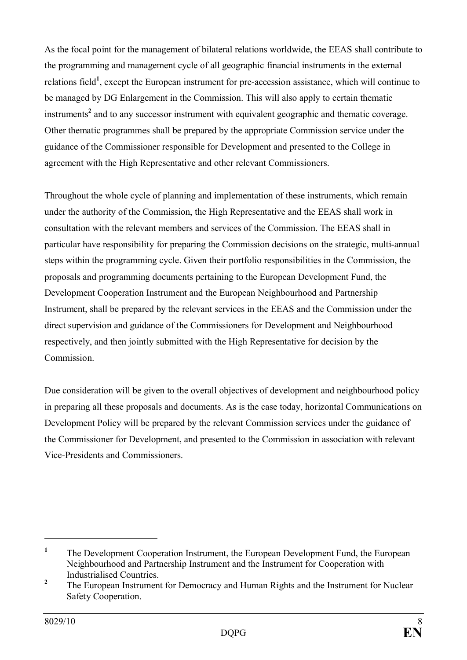As the focal point for the management of bilateral relations worldwide, the EEAS shall contribute to the programming and management cycle of all geographic financial instruments in the external relations field**<sup>1</sup>** , except the European instrument for pre-accession assistance, which will continue to be managed by DG Enlargement in the Commission. This will also apply to certain thematic instruments**<sup>2</sup>** and to any successor instrument with equivalent geographic and thematic coverage. Other thematic programmes shall be prepared by the appropriate Commission service under the guidance of the Commissioner responsible for Development and presented to the College in agreement with the High Representative and other relevant Commissioners.

Throughout the whole cycle of planning and implementation of these instruments, which remain under the authority of the Commission, the High Representative and the EEAS shall work in consultation with the relevant members and services of the Commission. The EEAS shall in particular have responsibility for preparing the Commission decisions on the strategic, multi-annual steps within the programming cycle. Given their portfolio responsibilities in the Commission, the proposals and programming documents pertaining to the European Development Fund, the Development Cooperation Instrument and the European Neighbourhood and Partnership Instrument, shall be prepared by the relevant services in the EEAS and the Commission under the direct supervision and guidance of the Commissioners for Development and Neighbourhood respectively, and then jointly submitted with the High Representative for decision by the Commission.

Due consideration will be given to the overall objectives of development and neighbourhood policy in preparing all these proposals and documents. As is the case today, horizontal Communications on Development Policy will be prepared by the relevant Commission services under the guidance of the Commissioner for Development, and presented to the Commission in association with relevant Vice-Presidents and Commissioners.

**<sup>1</sup>** The Development Cooperation Instrument, the European Development Fund, the European Neighbourhood and Partnership Instrument and the Instrument for Cooperation with Industrialised Countries.

**<sup>2</sup>** The European Instrument for Democracy and Human Rights and the Instrument for Nuclear Safety Cooperation.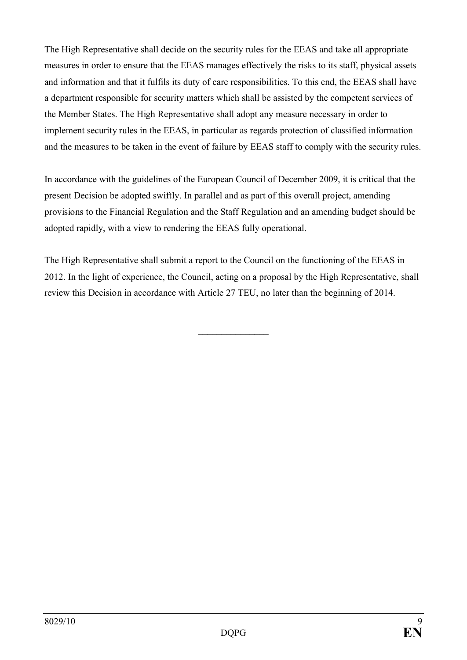The High Representative shall decide on the security rules for the EEAS and take all appropriate measures in order to ensure that the EEAS manages effectively the risks to its staff, physical assets and information and that it fulfils its duty of care responsibilities. To this end, the EEAS shall have a department responsible for security matters which shall be assisted by the competent services of the Member States. The High Representative shall adopt any measure necessary in order to implement security rules in the EEAS, in particular as regards protection of classified information and the measures to be taken in the event of failure by EEAS staff to comply with the security rules.

In accordance with the guidelines of the European Council of December 2009, it is critical that the present Decision be adopted swiftly. In parallel and as part of this overall project, amending provisions to the Financial Regulation and the Staff Regulation and an amending budget should be adopted rapidly, with a view to rendering the EEAS fully operational.

The High Representative shall submit a report to the Council on the functioning of the EEAS in 2012. In the light of experience, the Council, acting on a proposal by the High Representative, shall review this Decision in accordance with Article 27 TEU, no later than the beginning of 2014.

 $\frac{1}{2}$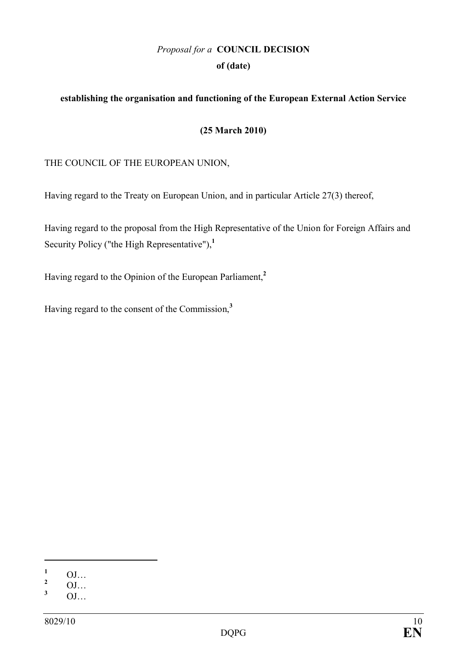# *Proposal for a* **COUNCIL DECISION of (date)**

## **establishing the organisation and functioning of the European External Action Service**

#### **(25 March 2010)**

#### THE COUNCIL OF THE EUROPEAN UNION,

Having regard to the Treaty on European Union, and in particular Article 27(3) thereof,

Having regard to the proposal from the High Representative of the Union for Foreign Affairs and Security Policy ("the High Representative"),**<sup>1</sup>**

Having regard to the Opinion of the European Parliament,**<sup>2</sup>**

Having regard to the consent of the Commission,**<sup>3</sup>**

 $\frac{1}{2}$  OJ…

 $\frac{2}{3}$  OJ…

**<sup>3</sup>** OJ…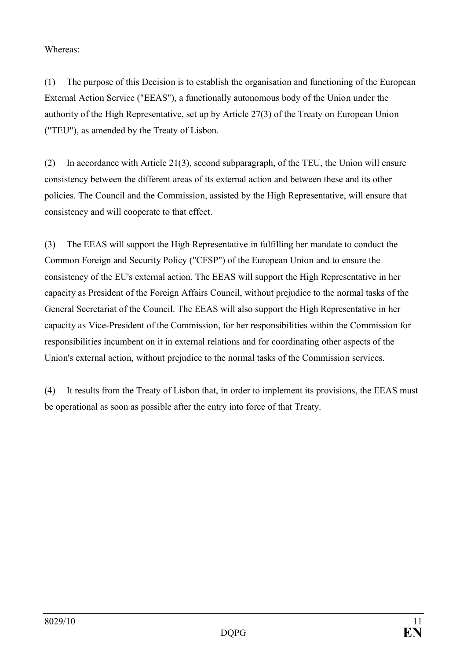Whereas:

(1) The purpose of this Decision is to establish the organisation and functioning of the European External Action Service ("EEAS"), a functionally autonomous body of the Union under the authority of the High Representative, set up by Article 27(3) of the Treaty on European Union ("TEU"), as amended by the Treaty of Lisbon.

(2) In accordance with Article 21(3), second subparagraph, of the TEU, the Union will ensure consistency between the different areas of its external action and between these and its other policies. The Council and the Commission, assisted by the High Representative, will ensure that consistency and will cooperate to that effect.

(3) The EEAS will support the High Representative in fulfilling her mandate to conduct the Common Foreign and Security Policy ("CFSP") of the European Union and to ensure the consistency of the EU's external action. The EEAS will support the High Representative in her capacity as President of the Foreign Affairs Council, without prejudice to the normal tasks of the General Secretariat of the Council. The EEAS will also support the High Representative in her capacity as Vice-President of the Commission, for her responsibilities within the Commission for responsibilities incumbent on it in external relations and for coordinating other aspects of the Union's external action, without prejudice to the normal tasks of the Commission services.

(4) It results from the Treaty of Lisbon that, in order to implement its provisions, the EEAS must be operational as soon as possible after the entry into force of that Treaty.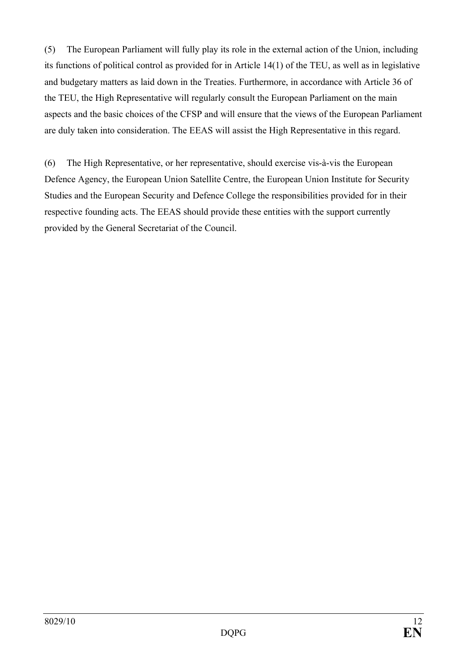(5) The European Parliament will fully play its role in the external action of the Union, including its functions of political control as provided for in Article 14(1) of the TEU, as well as in legislative and budgetary matters as laid down in the Treaties. Furthermore, in accordance with Article 36 of the TEU, the High Representative will regularly consult the European Parliament on the main aspects and the basic choices of the CFSP and will ensure that the views of the European Parliament are duly taken into consideration. The EEAS will assist the High Representative in this regard.

(6) The High Representative, or her representative, should exercise vis-à-vis the European Defence Agency, the European Union Satellite Centre, the European Union Institute for Security Studies and the European Security and Defence College the responsibilities provided for in their respective founding acts. The EEAS should provide these entities with the support currently provided by the General Secretariat of the Council.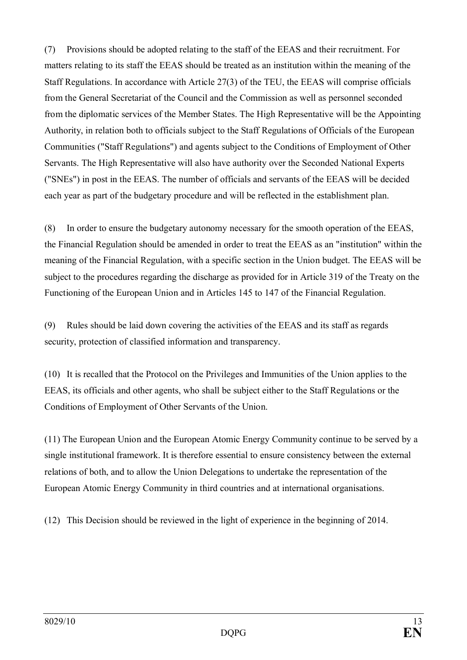(7) Provisions should be adopted relating to the staff of the EEAS and their recruitment. For matters relating to its staff the EEAS should be treated as an institution within the meaning of the Staff Regulations. In accordance with Article 27(3) of the TEU, the EEAS will comprise officials from the General Secretariat of the Council and the Commission as well as personnel seconded from the diplomatic services of the Member States. The High Representative will be the Appointing Authority, in relation both to officials subject to the Staff Regulations of Officials of the European Communities ("Staff Regulations") and agents subject to the Conditions of Employment of Other Servants. The High Representative will also have authority over the Seconded National Experts ("SNEs") in post in the EEAS. The number of officials and servants of the EEAS will be decided each year as part of the budgetary procedure and will be reflected in the establishment plan.

(8) In order to ensure the budgetary autonomy necessary for the smooth operation of the EEAS, the Financial Regulation should be amended in order to treat the EEAS as an "institution" within the meaning of the Financial Regulation, with a specific section in the Union budget. The EEAS will be subject to the procedures regarding the discharge as provided for in Article 319 of the Treaty on the Functioning of the European Union and in Articles 145 to 147 of the Financial Regulation.

(9) Rules should be laid down covering the activities of the EEAS and its staff as regards security, protection of classified information and transparency.

(10) It is recalled that the Protocol on the Privileges and Immunities of the Union applies to the EEAS, its officials and other agents, who shall be subject either to the Staff Regulations or the Conditions of Employment of Other Servants of the Union.

(11) The European Union and the European Atomic Energy Community continue to be served by a single institutional framework. It is therefore essential to ensure consistency between the external relations of both, and to allow the Union Delegations to undertake the representation of the European Atomic Energy Community in third countries and at international organisations.

(12) This Decision should be reviewed in the light of experience in the beginning of 2014.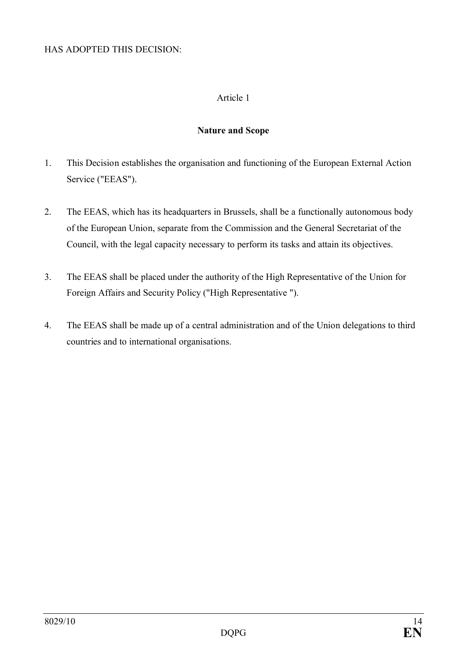#### HAS ADOPTED THIS DECISION:

## Article 1

#### **Nature and Scope**

- 1. This Decision establishes the organisation and functioning of the European External Action Service ("EEAS").
- 2. The EEAS, which has its headquarters in Brussels, shall be a functionally autonomous body of the European Union, separate from the Commission and the General Secretariat of the Council, with the legal capacity necessary to perform its tasks and attain its objectives.
- 3. The EEAS shall be placed under the authority of the High Representative of the Union for Foreign Affairs and Security Policy ("High Representative ").
- 4. The EEAS shall be made up of a central administration and of the Union delegations to third countries and to international organisations.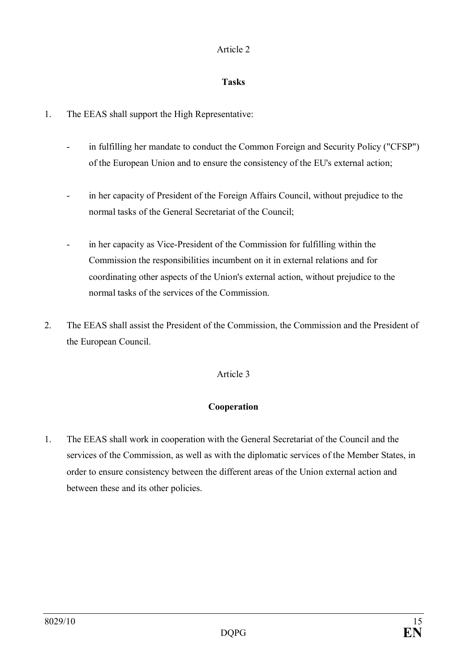## **Tasks**

- 1. The EEAS shall support the High Representative:
	- in fulfilling her mandate to conduct the Common Foreign and Security Policy ("CFSP") of the European Union and to ensure the consistency of the EU's external action;
	- in her capacity of President of the Foreign Affairs Council, without prejudice to the normal tasks of the General Secretariat of the Council;
	- in her capacity as Vice-President of the Commission for fulfilling within the Commission the responsibilities incumbent on it in external relations and for coordinating other aspects of the Union's external action, without prejudice to the normal tasks of the services of the Commission.
- 2. The EEAS shall assist the President of the Commission, the Commission and the President of the European Council.

# Article 3

# **Cooperation**

1. The EEAS shall work in cooperation with the General Secretariat of the Council and the services of the Commission, as well as with the diplomatic services of the Member States, in order to ensure consistency between the different areas of the Union external action and between these and its other policies.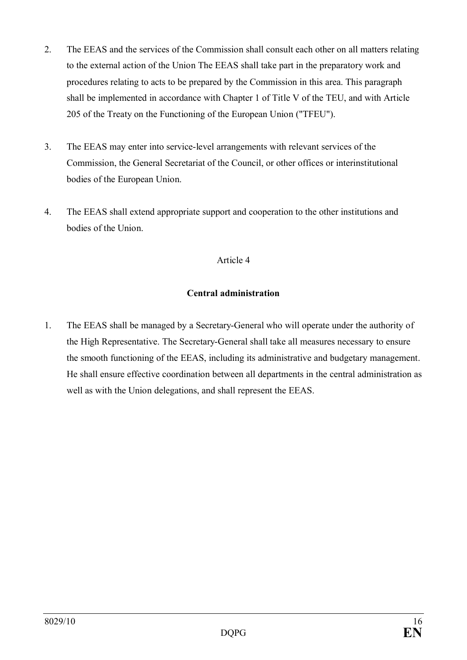- 2. The EEAS and the services of the Commission shall consult each other on all matters relating to the external action of the Union The EEAS shall take part in the preparatory work and procedures relating to acts to be prepared by the Commission in this area. This paragraph shall be implemented in accordance with Chapter 1 of Title V of the TEU, and with Article 205 of the Treaty on the Functioning of the European Union ("TFEU").
- 3. The EEAS may enter into service-level arrangements with relevant services of the Commission, the General Secretariat of the Council, or other offices or interinstitutional bodies of the European Union.
- 4. The EEAS shall extend appropriate support and cooperation to the other institutions and bodies of the Union.

#### **Central administration**

1. The EEAS shall be managed by a Secretary-General who will operate under the authority of the High Representative. The Secretary-General shall take all measures necessary to ensure the smooth functioning of the EEAS, including its administrative and budgetary management. He shall ensure effective coordination between all departments in the central administration as well as with the Union delegations, and shall represent the EEAS.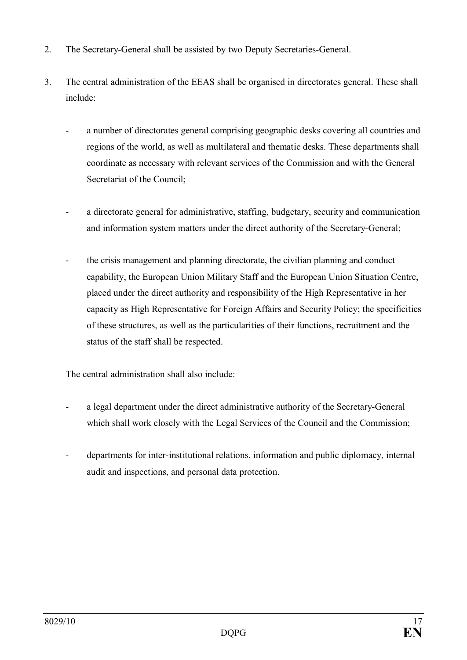- 2. The Secretary-General shall be assisted by two Deputy Secretaries-General.
- 3. The central administration of the EEAS shall be organised in directorates general. These shall include:
	- a number of directorates general comprising geographic desks covering all countries and regions of the world, as well as multilateral and thematic desks. These departments shall coordinate as necessary with relevant services of the Commission and with the General Secretariat of the Council;
	- a directorate general for administrative, staffing, budgetary, security and communication and information system matters under the direct authority of the Secretary-General;
	- the crisis management and planning directorate, the civilian planning and conduct capability, the European Union Military Staff and the European Union Situation Centre, placed under the direct authority and responsibility of the High Representative in her capacity as High Representative for Foreign Affairs and Security Policy; the specificities of these structures, as well as the particularities of their functions, recruitment and the status of the staff shall be respected.

The central administration shall also include:

- a legal department under the direct administrative authority of the Secretary-General which shall work closely with the Legal Services of the Council and the Commission;
- departments for inter-institutional relations, information and public diplomacy, internal audit and inspections, and personal data protection.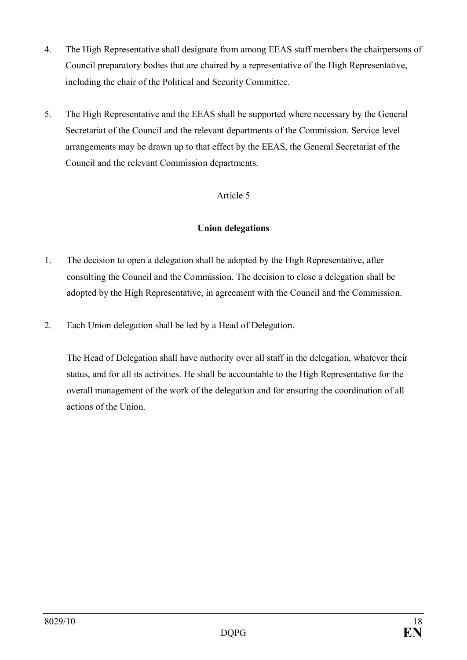- 4. The High Representative shall designate from among EEAS staff members the chairpersons of Council preparatory bodies that are chaired by a representative of the High Representative, including the chair of the Political and Security Committee.
- 5. The High Representative and the EEAS shall be supported where necessary by the General Secretariat of the Council and the relevant departments of the Commission. Service level arrangements may be drawn up to that effect by the EEAS, the General Secretariat of the Council and the relevant Commission departments.

## **Union delegations**

- 1. The decision to open a delegation shall be adopted by the High Representative, after consulting the Council and the Commission. The decision to close a delegation shall be adopted by the High Representative, in agreement with the Council and the Commission.
- 2. Each Union delegation shall be led by a Head of Delegation.

The Head of Delegation shall have authority over all staff in the delegation, whatever their status, and for all its activities. He shall be accountable to the High Representative for the overall management of the work of the delegation and for ensuring the coordination of all actions of the Union.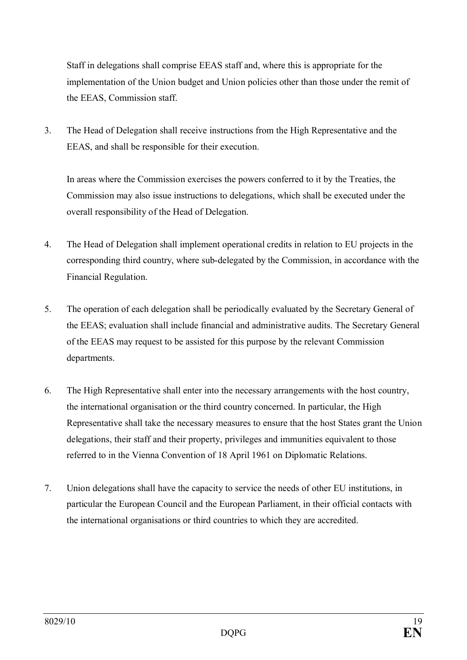Staff in delegations shall comprise EEAS staff and, where this is appropriate for the implementation of the Union budget and Union policies other than those under the remit of the EEAS, Commission staff.

3. The Head of Delegation shall receive instructions from the High Representative and the EEAS, and shall be responsible for their execution.

In areas where the Commission exercises the powers conferred to it by the Treaties, the Commission may also issue instructions to delegations, which shall be executed under the overall responsibility of the Head of Delegation.

- 4. The Head of Delegation shall implement operational credits in relation to EU projects in the corresponding third country, where sub-delegated by the Commission, in accordance with the Financial Regulation.
- 5. The operation of each delegation shall be periodically evaluated by the Secretary General of the EEAS; evaluation shall include financial and administrative audits. The Secretary General of the EEAS may request to be assisted for this purpose by the relevant Commission departments.
- 6. The High Representative shall enter into the necessary arrangements with the host country, the international organisation or the third country concerned. In particular, the High Representative shall take the necessary measures to ensure that the host States grant the Union delegations, their staff and their property, privileges and immunities equivalent to those referred to in the Vienna Convention of 18 April 1961 on Diplomatic Relations.
- 7. Union delegations shall have the capacity to service the needs of other EU institutions, in particular the European Council and the European Parliament, in their official contacts with the international organisations or third countries to which they are accredited.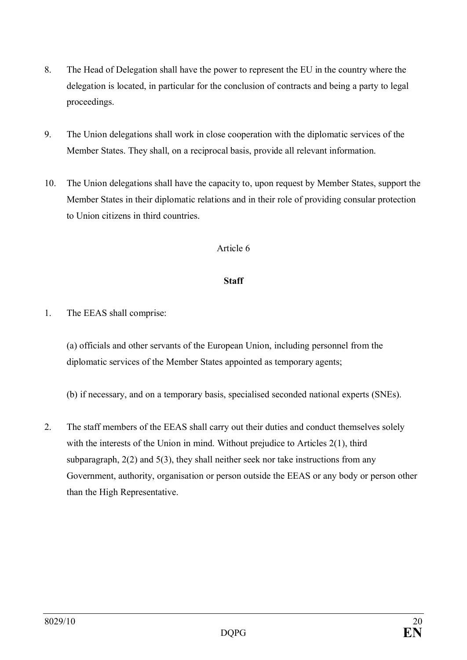- 8. The Head of Delegation shall have the power to represent the EU in the country where the delegation is located, in particular for the conclusion of contracts and being a party to legal proceedings.
- 9. The Union delegations shall work in close cooperation with the diplomatic services of the Member States. They shall, on a reciprocal basis, provide all relevant information.
- 10. The Union delegations shall have the capacity to, upon request by Member States, support the Member States in their diplomatic relations and in their role of providing consular protection to Union citizens in third countries.

## **Staff**

1. The EEAS shall comprise:

(a) officials and other servants of the European Union, including personnel from the diplomatic services of the Member States appointed as temporary agents;

(b) if necessary, and on a temporary basis, specialised seconded national experts (SNEs).

2. The staff members of the EEAS shall carry out their duties and conduct themselves solely with the interests of the Union in mind. Without prejudice to Articles 2(1), third subparagraph, 2(2) and 5(3), they shall neither seek nor take instructions from any Government, authority, organisation or person outside the EEAS or any body or person other than the High Representative.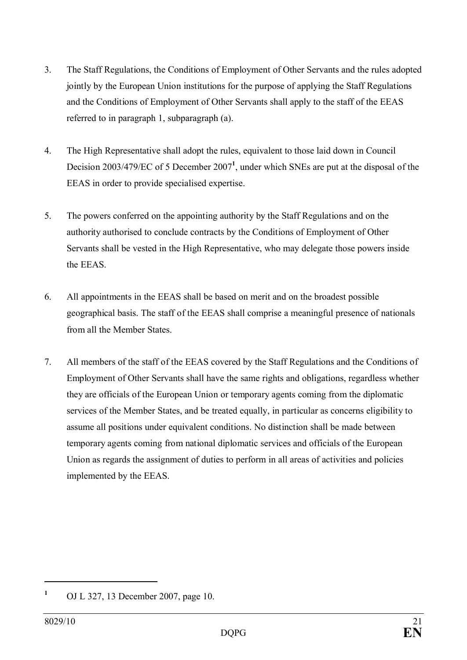- 3. The Staff Regulations, the Conditions of Employment of Other Servants and the rules adopted jointly by the European Union institutions for the purpose of applying the Staff Regulations and the Conditions of Employment of Other Servants shall apply to the staff of the EEAS referred to in paragraph 1, subparagraph (a).
- 4. The High Representative shall adopt the rules, equivalent to those laid down in Council Decision 2003/479/EC of 5 December 2007**<sup>1</sup>** , under which SNEs are put at the disposal of the EEAS in order to provide specialised expertise.
- 5. The powers conferred on the appointing authority by the Staff Regulations and on the authority authorised to conclude contracts by the Conditions of Employment of Other Servants shall be vested in the High Representative, who may delegate those powers inside the EEAS.
- 6. All appointments in the EEAS shall be based on merit and on the broadest possible geographical basis. The staff of the EEAS shall comprise a meaningful presence of nationals from all the Member States.
- 7. All members of the staff of the EEAS covered by the Staff Regulations and the Conditions of Employment of Other Servants shall have the same rights and obligations, regardless whether they are officials of the European Union or temporary agents coming from the diplomatic services of the Member States, and be treated equally, in particular as concerns eligibility to assume all positions under equivalent conditions. No distinction shall be made between temporary agents coming from national diplomatic services and officials of the European Union as regards the assignment of duties to perform in all areas of activities and policies implemented by the EEAS.

**<sup>1</sup>** OJ L 327, 13 December 2007, page 10.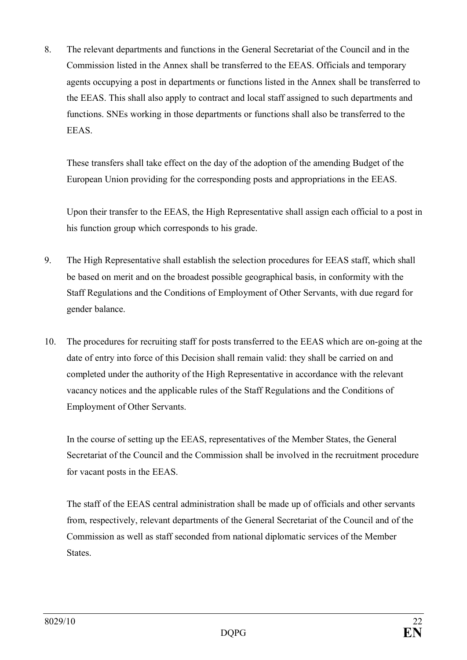8. The relevant departments and functions in the General Secretariat of the Council and in the Commission listed in the Annex shall be transferred to the EEAS. Officials and temporary agents occupying a post in departments or functions listed in the Annex shall be transferred to the EEAS. This shall also apply to contract and local staff assigned to such departments and functions. SNEs working in those departments or functions shall also be transferred to the EEAS.

These transfers shall take effect on the day of the adoption of the amending Budget of the European Union providing for the corresponding posts and appropriations in the EEAS.

Upon their transfer to the EEAS, the High Representative shall assign each official to a post in his function group which corresponds to his grade.

- 9. The High Representative shall establish the selection procedures for EEAS staff, which shall be based on merit and on the broadest possible geographical basis, in conformity with the Staff Regulations and the Conditions of Employment of Other Servants, with due regard for gender balance.
- 10. The procedures for recruiting staff for posts transferred to the EEAS which are on-going at the date of entry into force of this Decision shall remain valid: they shall be carried on and completed under the authority of the High Representative in accordance with the relevant vacancy notices and the applicable rules of the Staff Regulations and the Conditions of Employment of Other Servants.

In the course of setting up the EEAS, representatives of the Member States, the General Secretariat of the Council and the Commission shall be involved in the recruitment procedure for vacant posts in the EEAS.

The staff of the EEAS central administration shall be made up of officials and other servants from, respectively, relevant departments of the General Secretariat of the Council and of the Commission as well as staff seconded from national diplomatic services of the Member States.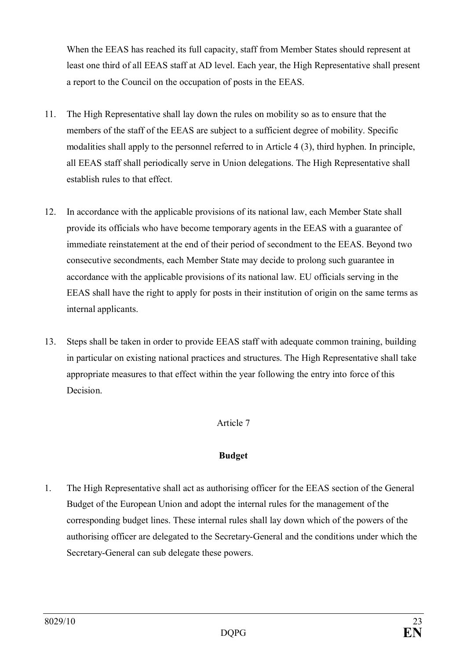When the EEAS has reached its full capacity, staff from Member States should represent at least one third of all EEAS staff at AD level. Each year, the High Representative shall present a report to the Council on the occupation of posts in the EEAS.

- 11. The High Representative shall lay down the rules on mobility so as to ensure that the members of the staff of the EEAS are subject to a sufficient degree of mobility. Specific modalities shall apply to the personnel referred to in Article 4 (3), third hyphen. In principle, all EEAS staff shall periodically serve in Union delegations. The High Representative shall establish rules to that effect.
- 12. In accordance with the applicable provisions of its national law, each Member State shall provide its officials who have become temporary agents in the EEAS with a guarantee of immediate reinstatement at the end of their period of secondment to the EEAS. Beyond two consecutive secondments, each Member State may decide to prolong such guarantee in accordance with the applicable provisions of its national law. EU officials serving in the EEAS shall have the right to apply for posts in their institution of origin on the same terms as internal applicants.
- 13. Steps shall be taken in order to provide EEAS staff with adequate common training, building in particular on existing national practices and structures. The High Representative shall take appropriate measures to that effect within the year following the entry into force of this Decision.

## Article 7

#### **Budget**

1. The High Representative shall act as authorising officer for the EEAS section of the General Budget of the European Union and adopt the internal rules for the management of the corresponding budget lines. These internal rules shall lay down which of the powers of the authorising officer are delegated to the Secretary-General and the conditions under which the Secretary-General can sub delegate these powers.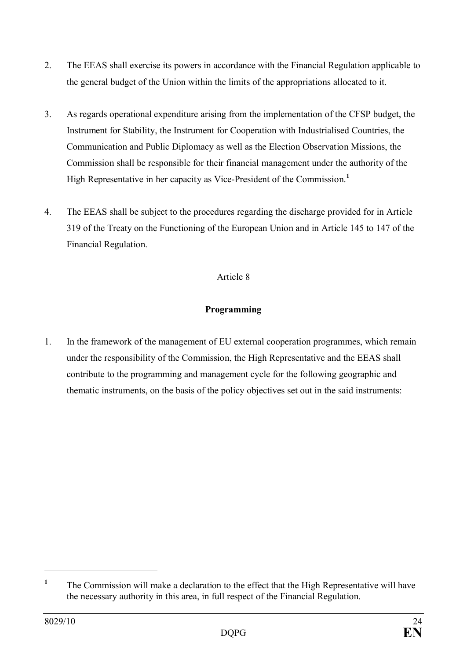- 2. The EEAS shall exercise its powers in accordance with the Financial Regulation applicable to the general budget of the Union within the limits of the appropriations allocated to it.
- 3. As regards operational expenditure arising from the implementation of the CFSP budget, the Instrument for Stability, the Instrument for Cooperation with Industrialised Countries, the Communication and Public Diplomacy as well as the Election Observation Missions, the Commission shall be responsible for their financial management under the authority of the High Representative in her capacity as Vice-President of the Commission.<sup>1</sup>
- 4. The EEAS shall be subject to the procedures regarding the discharge provided for in Article 319 of the Treaty on the Functioning of the European Union and in Article 145 to 147 of the Financial Regulation.

## **Programming**

1. In the framework of the management of EU external cooperation programmes, which remain under the responsibility of the Commission, the High Representative and the EEAS shall contribute to the programming and management cycle for the following geographic and thematic instruments, on the basis of the policy objectives set out in the said instruments:

**<sup>1</sup>** The Commission will make a declaration to the effect that the High Representative will have the necessary authority in this area, in full respect of the Financial Regulation.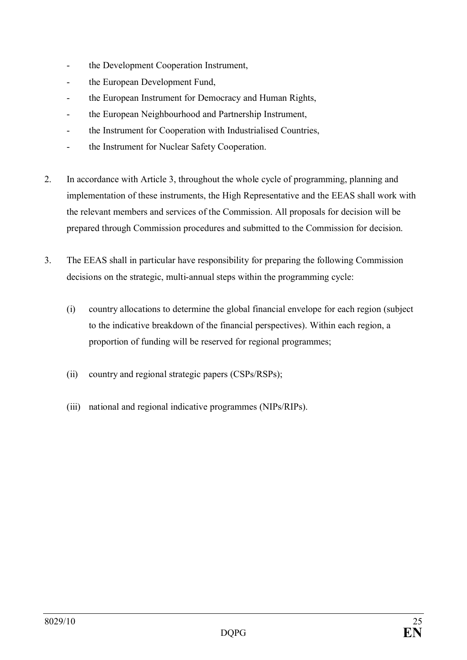- the Development Cooperation Instrument,
- the European Development Fund,
- the European Instrument for Democracy and Human Rights,
- the European Neighbourhood and Partnership Instrument,
- the Instrument for Cooperation with Industrialised Countries,
- the Instrument for Nuclear Safety Cooperation.
- 2. In accordance with Article 3, throughout the whole cycle of programming, planning and implementation of these instruments, the High Representative and the EEAS shall work with the relevant members and services of the Commission. All proposals for decision will be prepared through Commission procedures and submitted to the Commission for decision.
- 3. The EEAS shall in particular have responsibility for preparing the following Commission decisions on the strategic, multi-annual steps within the programming cycle:
	- (i) country allocations to determine the global financial envelope for each region (subject to the indicative breakdown of the financial perspectives). Within each region, a proportion of funding will be reserved for regional programmes;
	- (ii) country and regional strategic papers (CSPs/RSPs);
	- (iii) national and regional indicative programmes (NIPs/RIPs).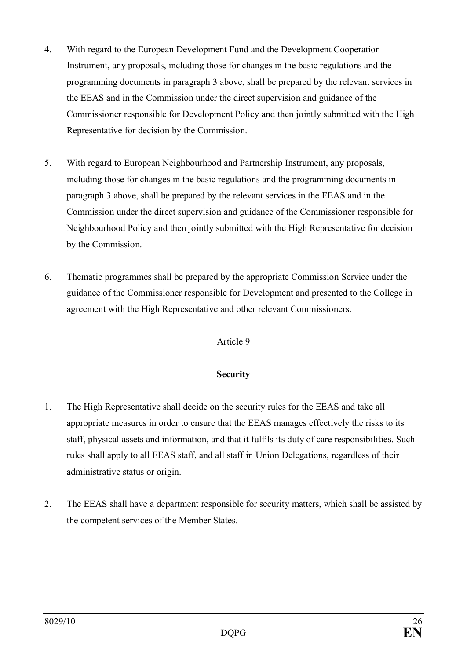- 4. With regard to the European Development Fund and the Development Cooperation Instrument, any proposals, including those for changes in the basic regulations and the programming documents in paragraph 3 above, shall be prepared by the relevant services in the EEAS and in the Commission under the direct supervision and guidance of the Commissioner responsible for Development Policy and then jointly submitted with the High Representative for decision by the Commission.
- 5. With regard to European Neighbourhood and Partnership Instrument, any proposals, including those for changes in the basic regulations and the programming documents in paragraph 3 above, shall be prepared by the relevant services in the EEAS and in the Commission under the direct supervision and guidance of the Commissioner responsible for Neighbourhood Policy and then jointly submitted with the High Representative for decision by the Commission.
- 6. Thematic programmes shall be prepared by the appropriate Commission Service under the guidance of the Commissioner responsible for Development and presented to the College in agreement with the High Representative and other relevant Commissioners.

#### **Security**

- 1. The High Representative shall decide on the security rules for the EEAS and take all appropriate measures in order to ensure that the EEAS manages effectively the risks to its staff, physical assets and information, and that it fulfils its duty of care responsibilities. Such rules shall apply to all EEAS staff, and all staff in Union Delegations, regardless of their administrative status or origin.
- 2. The EEAS shall have a department responsible for security matters, which shall be assisted by the competent services of the Member States.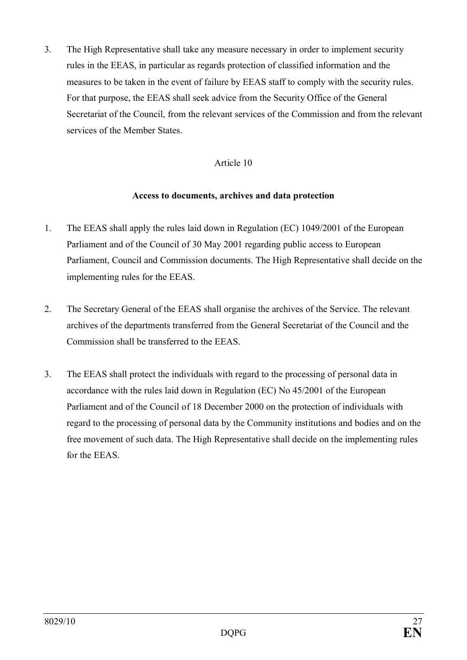3. The High Representative shall take any measure necessary in order to implement security rules in the EEAS, in particular as regards protection of classified information and the measures to be taken in the event of failure by EEAS staff to comply with the security rules. For that purpose, the EEAS shall seek advice from the Security Office of the General Secretariat of the Council, from the relevant services of the Commission and from the relevant services of the Member States.

#### Article 10

#### **Access to documents, archives and data protection**

- 1. The EEAS shall apply the rules laid down in Regulation (EC) 1049/2001 of the European Parliament and of the Council of 30 May 2001 regarding public access to European Parliament, Council and Commission documents. The High Representative shall decide on the implementing rules for the EEAS.
- 2. The Secretary General of the EEAS shall organise the archives of the Service. The relevant archives of the departments transferred from the General Secretariat of the Council and the Commission shall be transferred to the EEAS.
- 3. The EEAS shall protect the individuals with regard to the processing of personal data in accordance with the rules laid down in Regulation (EC) No 45/2001 of the European Parliament and of the Council of 18 December 2000 on the protection of individuals with regard to the processing of personal data by the Community institutions and bodies and on the free movement of such data. The High Representative shall decide on the implementing rules for the EEAS.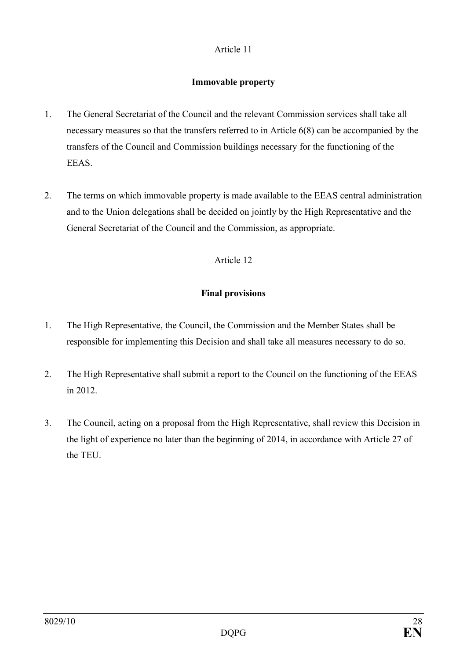## **Immovable property**

- 1. The General Secretariat of the Council and the relevant Commission services shall take all necessary measures so that the transfers referred to in Article 6(8) can be accompanied by the transfers of the Council and Commission buildings necessary for the functioning of the EEAS.
- 2. The terms on which immovable property is made available to the EEAS central administration and to the Union delegations shall be decided on jointly by the High Representative and the General Secretariat of the Council and the Commission, as appropriate.

# Article 12

# **Final provisions**

- 1. The High Representative, the Council, the Commission and the Member States shall be responsible for implementing this Decision and shall take all measures necessary to do so.
- 2. The High Representative shall submit a report to the Council on the functioning of the EEAS in 2012.
- 3. The Council, acting on a proposal from the High Representative, shall review this Decision in the light of experience no later than the beginning of 2014, in accordance with Article 27 of the TEU.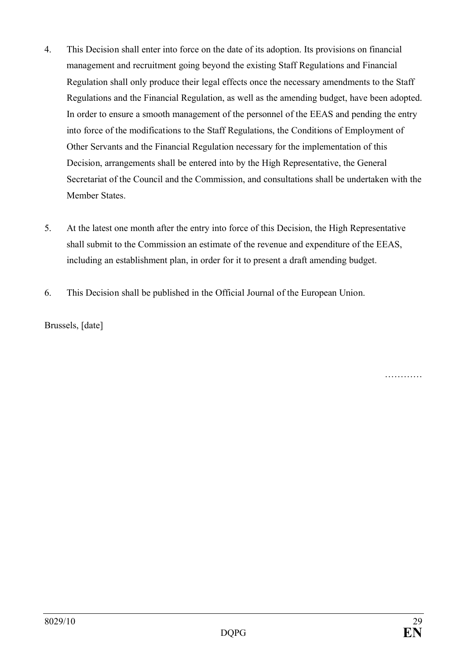- 4. This Decision shall enter into force on the date of its adoption. Its provisions on financial management and recruitment going beyond the existing Staff Regulations and Financial Regulation shall only produce their legal effects once the necessary amendments to the Staff Regulations and the Financial Regulation, as well as the amending budget, have been adopted. In order to ensure a smooth management of the personnel of the EEAS and pending the entry into force of the modifications to the Staff Regulations, the Conditions of Employment of Other Servants and the Financial Regulation necessary for the implementation of this Decision, arrangements shall be entered into by the High Representative, the General Secretariat of the Council and the Commission, and consultations shall be undertaken with the Member States.
- 5. At the latest one month after the entry into force of this Decision, the High Representative shall submit to the Commission an estimate of the revenue and expenditure of the EEAS, including an establishment plan, in order for it to present a draft amending budget.
- 6. This Decision shall be published in the Official Journal of the European Union.

Brussels, [date]

……………